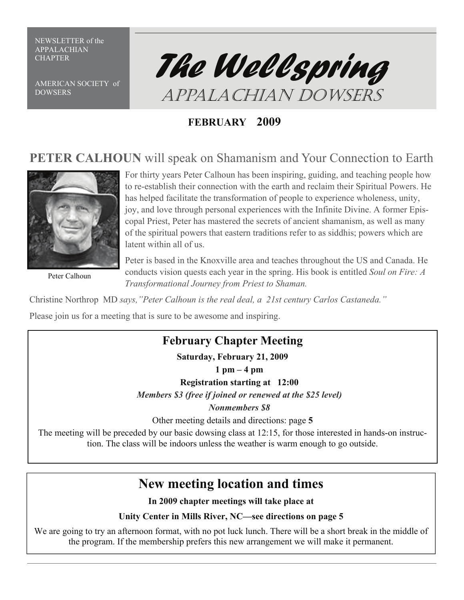NEWSLETTER of the APPALACHIAN

AMERICAN SOCIETY of **DOWSERS** 



# **FEBRUARY 2009**

# **PETER CALHOUN** will speak on Shamanism and Your Connection to Earth



Peter Calhoun

For thirty years Peter Calhoun has been inspiring, guiding, and teaching people how to re-establish their connection with the earth and reclaim their Spiritual Powers. He has helped facilitate the transformation of people to experience wholeness, unity, joy, and love through personal experiences with the Infinite Divine. A former Episcopal Priest, Peter has mastered the secrets of ancient shamanism, as well as many of the spiritual powers that eastern traditions refer to as siddhis; powers which are latent within all of us.

Peter is based in the Knoxville area and teaches throughout the US and Canada. He conducts vision quests each year in the spring. His book is entitled *Soul on Fire: A Transformational Journey from Priest to Shaman.* 

Christine Northrop MD *says,"Peter Calhoun is the real deal, a 21st century Carlos Castaneda."* 

Please join us for a meeting that is sure to be awesome and inspiring.

# **February Chapter Meeting**

**Saturday, February 21, 2009** 

**1 pm – 4 pm** 

**Registration starting at 12:00** 

*Members \$3 (free if joined or renewed at the \$25 level)* 

*Nonmembers \$8* 

Other meeting details and directions: page **5** 

The meeting will be preceded by our basic dowsing class at 12:15, for those interested in hands-on instruction. The class will be indoors unless the weather is warm enough to go outside.

# **New meeting location and times**

**In 2009 chapter meetings will take place at** 

**Unity Center in Mills River, NC—see directions on page 5** 

We are going to try an afternoon format, with no pot luck lunch. There will be a short break in the middle of the program. If the membership prefers this new arrangement we will make it permanent.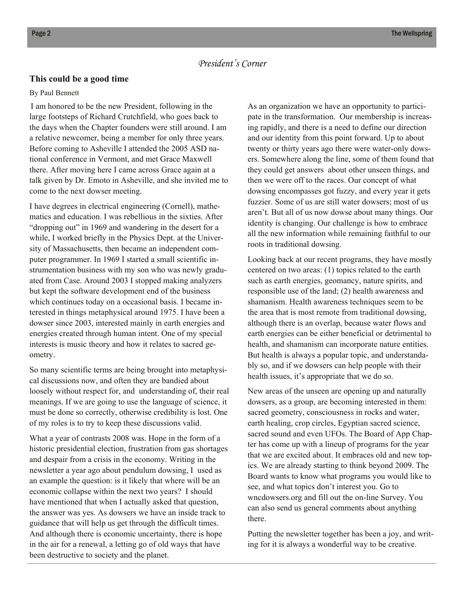## *President's Corner*

#### **This could be a good time**

#### By Paul Bennett

I am honored to be the new President, following in the large footsteps of Richard Crutchfield, who goes back to the days when the Chapter founders were still around. I am a relative newcomer, being a member for only three years. Before coming to Asheville I attended the 2005 ASD national conference in Vermont, and met Grace Maxwell there. After moving here I came across Grace again at a talk given by Dr. Emoto in Asheville, and she invited me to come to the next dowser meeting.

I have degrees in electrical engineering (Cornell), mathematics and education. I was rebellious in the sixties. After "dropping out" in 1969 and wandering in the desert for a while, I worked briefly in the Physics Dept. at the University of Massachusetts, then became an independent computer programmer. In 1969 I started a small scientific instrumentation business with my son who was newly graduated from Case. Around 2003 I stopped making analyzers but kept the software development end of the business which continues today on a occasional basis. I became interested in things metaphysical around 1975. I have been a dowser since 2003, interested mainly in earth energies and energies created through human intent. One of my special interests is music theory and how it relates to sacred geometry.

So many scientific terms are being brought into metaphysical discussions now, and often they are bandied about loosely without respect for, and understanding of, their real meanings. If we are going to use the language of science, it must be done so correctly, otherwise credibility is lost. One of my roles is to try to keep these discussions valid.

What a year of contrasts 2008 was. Hope in the form of a historic presidential election, frustration from gas shortages and despair from a crisis in the economy. Writing in the newsletter a year ago about pendulum dowsing, I used as an example the question: is it likely that where will be an economic collapse within the next two years? I should have mentioned that when I actually asked that question, the answer was yes. As dowsers we have an inside track to guidance that will help us get through the difficult times. And although there is economic uncertainty, there is hope in the air for a renewal, a letting go of old ways that have been destructive to society and the planet.

As an organization we have an opportunity to participate in the transformation. Our membership is increasing rapidly, and there is a need to define our direction and our identity from this point forward. Up to about twenty or thirty years ago there were water-only dowsers. Somewhere along the line, some of them found that they could get answers about other unseen things, and then we were off to the races. Our concept of what dowsing encompasses got fuzzy, and every year it gets fuzzier. Some of us are still water dowsers; most of us aren't. But all of us now dowse about many things. Our identity is changing. Our challenge is how to embrace all the new information while remaining faithful to our roots in traditional dowsing.

Looking back at our recent programs, they have mostly centered on two areas: (1) topics related to the earth such as earth energies, geomancy, nature spirits, and responsible use of the land; (2) health awareness and shamanism. Health awareness techniques seem to be the area that is most remote from traditional dowsing, although there is an overlap, because water flows and earth energies can be either beneficial or detrimental to health, and shamanism can incorporate nature entities. But health is always a popular topic, and understandably so, and if we dowsers can help people with their health issues, it's appropriate that we do so.

New areas of the unseen are opening up and naturally dowsers, as a group, are becoming interested in them: sacred geometry, consciousness in rocks and water, earth healing, crop circles, Egyptian sacred science, sacred sound and even UFOs. The Board of App Chapter has come up with a lineup of programs for the year that we are excited about. It embraces old and new topics. We are already starting to think beyond 2009. The Board wants to know what programs you would like to see, and what topics don't interest you. Go to wncdowsers.org and fill out the on-line Survey. You can also send us general comments about anything there.

Putting the newsletter together has been a joy, and writing for it is always a wonderful way to be creative.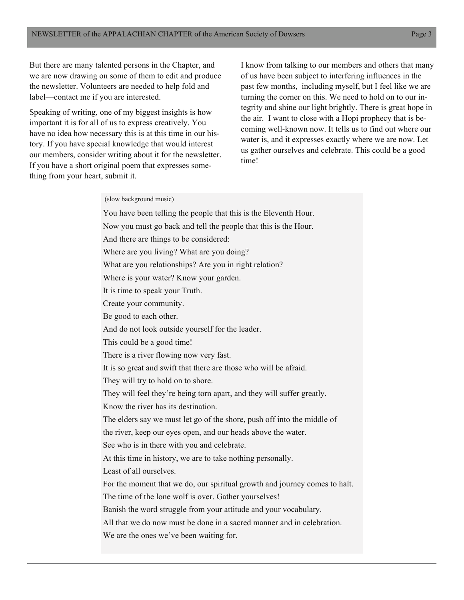But there are many talented persons in the Chapter, and we are now drawing on some of them to edit and produce the newsletter. Volunteers are needed to help fold and label—contact me if you are interested.

Speaking of writing, one of my biggest insights is how important it is for all of us to express creatively. You have no idea how necessary this is at this time in our history. If you have special knowledge that would interest our members, consider writing about it for the newsletter. If you have a short original poem that expresses something from your heart, submit it.

I know from talking to our members and others that many of us have been subject to interfering influences in the past few months, including myself, but I feel like we are turning the corner on this. We need to hold on to our integrity and shine our light brightly. There is great hope in the air. I want to close with a Hopi prophecy that is becoming well-known now. It tells us to find out where our water is, and it expresses exactly where we are now. Let us gather ourselves and celebrate. This could be a good time!

#### (slow background music)

You have been telling the people that this is the Eleventh Hour. Now you must go back and tell the people that this is the Hour. And there are things to be considered: Where are you living? What are you doing? What are you relationships? Are you in right relation? Where is your water? Know your garden. It is time to speak your Truth. Create your community. Be good to each other. And do not look outside yourself for the leader. This could be a good time! There is a river flowing now very fast. It is so great and swift that there are those who will be afraid. They will try to hold on to shore. They will feel they're being torn apart, and they will suffer greatly. Know the river has its destination. The elders say we must let go of the shore, push off into the middle of the river, keep our eyes open, and our heads above the water. See who is in there with you and celebrate. At this time in history, we are to take nothing personally. Least of all ourselves. For the moment that we do, our spiritual growth and journey comes to halt. The time of the lone wolf is over. Gather yourselves! Banish the word struggle from your attitude and your vocabulary. All that we do now must be done in a sacred manner and in celebration. We are the ones we've been waiting for.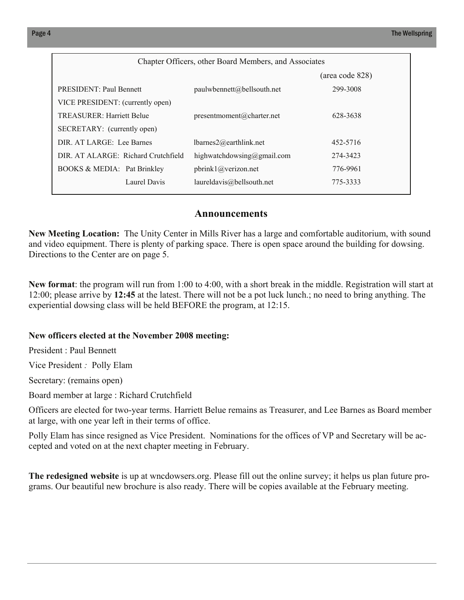| Chapter Officers, other Board Members, and Associates |                                 |                 |  |
|-------------------------------------------------------|---------------------------------|-----------------|--|
|                                                       |                                 | (area code 828) |  |
| <b>PRESIDENT: Paul Bennett</b>                        | paulw bennett(a) bell south.net | 299-3008        |  |
| VICE PRESIDENT: (currently open)                      |                                 |                 |  |
| <b>TREASURER: Harriett Belue</b>                      | presentmoment@charter.net       | 628-3638        |  |
| SECRETARY: (currently open)                           |                                 |                 |  |
| DIR. AT LARGE: Lee Barnes                             | $lbarnes2$ @earthlink.net       | 452-5716        |  |
| DIR. AT ALARGE: Richard Crutchfield                   | highwatchdowsing@gmail.com      | 274-3423        |  |
| <b>BOOKS &amp; MEDIA:</b> Pat Brinkley                | phrink1@verizon.net             | 776-9961        |  |
| Laurel Davis                                          | laureldavis@bellsouth.net       | 775-3333        |  |
|                                                       |                                 |                 |  |

## **Announcements**

**New Meeting Location:** The Unity Center in Mills River has a large and comfortable auditorium, with sound and video equipment. There is plenty of parking space. There is open space around the building for dowsing. Directions to the Center are on page 5.

**New format**: the program will run from 1:00 to 4:00, with a short break in the middle. Registration will start at 12:00; please arrive by **12:45** at the latest. There will not be a pot luck lunch.; no need to bring anything. The experiential dowsing class will be held BEFORE the program, at 12:15.

### **New officers elected at the November 2008 meeting:**

President : Paul Bennett

Vice President *:* Polly Elam

Secretary: (remains open)

Board member at large : Richard Crutchfield

Officers are elected for two-year terms. Harriett Belue remains as Treasurer, and Lee Barnes as Board member at large, with one year left in their terms of office.

Polly Elam has since resigned as Vice President. Nominations for the offices of VP and Secretary will be accepted and voted on at the next chapter meeting in February.

**The redesigned website** is up at wncdowsers.org. Please fill out the online survey; it helps us plan future programs. Our beautiful new brochure is also ready. There will be copies available at the February meeting.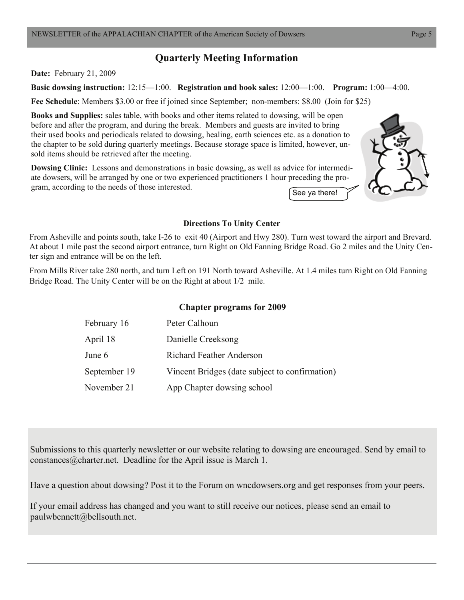# **Quarterly Meeting Information**

**Date:** February 21, 2009

**Basic dowsing instruction:** 12:15—1:00. **Registration and book sales:** 12:00—1:00. **Program:** 1:00—4:00.

**Fee Schedule**: Members \$3.00 or free if joined since September; non-members: \$8.00 (Join for \$25)

**Books and Supplies:** sales table, with books and other items related to dowsing, will be open before and after the program, and during the break. Members and guests are invited to bring their used books and periodicals related to dowsing, healing, earth sciences etc. as a donation to the chapter to be sold during quarterly meetings. Because storage space is limited, however, unsold items should be retrieved after the meeting.

**Dowsing Clinic:** Lessons and demonstrations in basic dowsing, as well as advice for intermediate dowsers, will be arranged by one or two experienced practitioners 1 hour preceding the program, according to the needs of those interested.





### **Directions To Unity Center**

From Asheville and points south, take I-26 to exit 40 (Airport and Hwy 280). Turn west toward the airport and Brevard. At about 1 mile past the second airport entrance, turn Right on Old Fanning Bridge Road. Go 2 miles and the Unity Center sign and entrance will be on the left.

From Mills River take 280 north, and turn Left on 191 North toward Asheville. At 1.4 miles turn Right on Old Fanning Bridge Road. The Unity Center will be on the Right at about 1/2 mile.

#### **Chapter programs for 2009**

| February 16  | Peter Calhoun                                  |
|--------------|------------------------------------------------|
| April 18     | Danielle Creeksong                             |
| June 6       | <b>Richard Feather Anderson</b>                |
| September 19 | Vincent Bridges (date subject to confirmation) |
| November 21  | App Chapter dowsing school                     |

Submissions to this quarterly newsletter or our website relating to dowsing are encouraged. Send by email to constances@charter.net. Deadline for the April issue is March 1.

Have a question about dowsing? Post it to the Forum on wncdowsers.org and get responses from your peers.

If your email address has changed and you want to still receive our notices, please send an email to paulwbennett@bellsouth.net.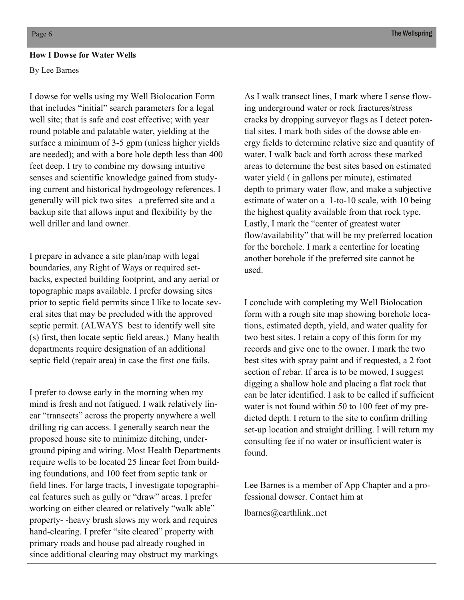#### **How I Dowse for Water Wells**

By Lee Barnes

I dowse for wells using my Well Biolocation Form that includes "initial" search parameters for a legal well site; that is safe and cost effective; with year round potable and palatable water, yielding at the surface a minimum of 3-5 gpm (unless higher yields are needed); and with a bore hole depth less than 400 feet deep. I try to combine my dowsing intuitive senses and scientific knowledge gained from studying current and historical hydrogeology references. I generally will pick two sites– a preferred site and a backup site that allows input and flexibility by the well driller and land owner

I prepare in advance a site plan/map with legal boundaries, any Right of Ways or required setbacks, expected building footprint, and any aerial or topographic maps available. I prefer dowsing sites prior to septic field permits since I like to locate several sites that may be precluded with the approved septic permit. (ALWAYS best to identify well site (s) first, then locate septic field areas.) Many health departments require designation of an additional septic field (repair area) in case the first one fails.

I prefer to dowse early in the morning when my mind is fresh and not fatigued. I walk relatively linear "transects" across the property anywhere a well drilling rig can access. I generally search near the proposed house site to minimize ditching, underground piping and wiring. Most Health Departments require wells to be located 25 linear feet from building foundations, and 100 feet from septic tank or field lines. For large tracts, I investigate topographical features such as gully or "draw" areas. I prefer working on either cleared or relatively "walk able" property- -heavy brush slows my work and requires hand-clearing. I prefer "site cleared" property with primary roads and house pad already roughed in since additional clearing may obstruct my markings

As I walk transect lines, I mark where I sense flowing underground water or rock fractures/stress cracks by dropping surveyor flags as I detect potential sites. I mark both sides of the dowse able energy fields to determine relative size and quantity of water. I walk back and forth across these marked areas to determine the best sites based on estimated water yield ( in gallons per minute), estimated depth to primary water flow, and make a subjective estimate of water on a 1-to-10 scale, with 10 being the highest quality available from that rock type. Lastly, I mark the "center of greatest water flow/availability" that will be my preferred location for the borehole. I mark a centerline for locating another borehole if the preferred site cannot be used.

I conclude with completing my Well Biolocation form with a rough site map showing borehole locations, estimated depth, yield, and water quality for two best sites. I retain a copy of this form for my records and give one to the owner. I mark the two best sites with spray paint and if requested, a 2 foot section of rebar. If area is to be mowed, I suggest digging a shallow hole and placing a flat rock that can be later identified. I ask to be called if sufficient water is not found within 50 to 100 feet of my predicted depth. I return to the site to confirm drilling set-up location and straight drilling. I will return my consulting fee if no water or insufficient water is found.

Lee Barnes is a member of App Chapter and a professional dowser. Contact him at

lbarnes@earthlink..net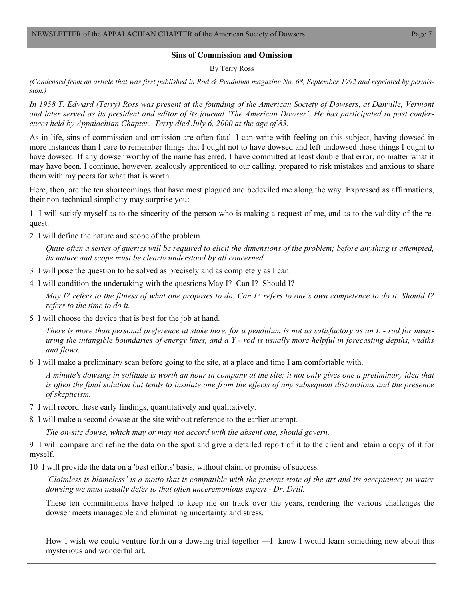#### **Sins of Commission and Omission**

By Terry Ross

*(Condensed from an article that was first published in Rod & Pendulum magazine No. 68, September 1992 and reprinted by permission.)* 

In 1958 T. Edward (Terry) Ross was present at the founding of the American Society of Dowsers, at Danville, Vermont *and later served as its president and editor of its journal 'The American Dowser'. He has participated in past conferences held by Appalachian Chapter. Terry died July 6, 2000 at the age of 83.*

As in life, sins of commission and omission are often fatal. I can write with feeling on this subject, having dowsed in more instances than I care to remember things that I ought not to have dowsed and left undowsed those things I ought to have dowsed. If any dowser worthy of the name has erred, I have committed at least double that error, no matter what it may have been. I continue, however, zealously apprenticed to our calling, prepared to risk mistakes and anxious to share them with my peers for what that is worth.

Here, then, are the ten shortcomings that have most plagued and bedeviled me along the way. Expressed as affirmations, their non-technical simplicity may surprise you:

1 I will satisfy myself as to the sincerity of the person who is making a request of me, and as to the validity of the request.

2 I will define the nature and scope of the problem.

*Quite often a series of queries will be required to elicit the dimensions of the problem; before anything is attempted, its nature and scope must be clearly understood by all concerned.* 

- 3 I will pose the question to be solved as precisely and as completely as I can.
- 4 I will condition the undertaking with the questions May I? Can I? Should I?

*May I? refers to the fitness of what one proposes to do. Can I? refers to one's own competence to do it. Should I? refers to the time to do it.* 

5 I will choose the device that is best for the job at hand.

*There is more than personal preference at stake here, for a pendulum is not as satisfactory as an L - rod for measuring the intangible boundaries of energy lines, and a Y - rod is usually more helpful in forecasting depths, widths and flows.* 

6 I will make a preliminary scan before going to the site, at a place and time I am comfortable with.

*A minute's dowsing in solitude is worth an hour in company at the site; it not only gives one a preliminary idea that is often the final solution but tends to insulate one from the effects of any subsequent distractions and the presence of skepticism.*

- 7 I will record these early findings, quantitatively and qualitatively.
- 8 I will make a second dowse at the site without reference to the earlier attempt.

*The on-site dowse, which may or may not accord with the absent one, should govern.* 

9 I will compare and refine the data on the spot and give a detailed report of it to the client and retain a copy of it for myself.

10 I will provide the data on a 'best efforts' basis, without claim or promise of success.

*'Claimless is blameless' is a motto that is compatible with the present state of the art and its acceptance; in water dowsing we must usually defer to that often unceremonious expert - Dr. Drill.* 

These ten commitments have helped to keep me on track over the years, rendering the various challenges the dowser meets manageable and eliminating uncertainty and stress.

How I wish we could venture forth on a dowsing trial together —I know I would learn something new about this mysterious and wonderful art.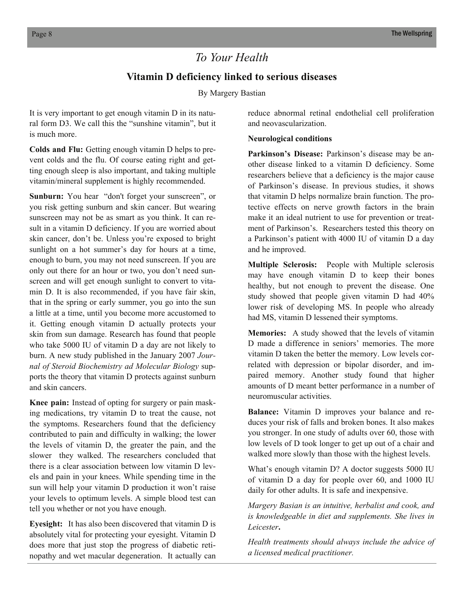# *To Your Health*

## **Vitamin D deficiency linked to serious diseases**

By Margery Bastian

It is very important to get enough vitamin D in its natural form D3. We call this the "sunshine vitamin", but it is much more.

**Colds and Flu:** Getting enough vitamin D helps to prevent colds and the flu. Of course eating right and getting enough sleep is also important, and taking multiple vitamin/mineral supplement is highly recommended.

**Sunburn:** You hear "don't forget your sunscreen", or you risk getting sunburn and skin cancer. But wearing sunscreen may not be as smart as you think. It can result in a vitamin D deficiency. If you are worried about skin cancer, don't be. Unless you're exposed to bright sunlight on a hot summer's day for hours at a time, enough to burn, you may not need sunscreen. If you are only out there for an hour or two, you don't need sunscreen and will get enough sunlight to convert to vitamin D. It is also recommended, if you have fair skin, that in the spring or early summer, you go into the sun a little at a time, until you become more accustomed to it. Getting enough vitamin D actually protects your skin from sun damage. Research has found that people who take 5000 IU of vitamin D a day are not likely to burn. A new study published in the January 2007 *Journal of Steroid Biochemistry ad Molecular Biology* supports the theory that vitamin D protects against sunburn and skin cancers.

**Knee pain:** Instead of opting for surgery or pain masking medications, try vitamin D to treat the cause, not the symptoms. Researchers found that the deficiency contributed to pain and difficulty in walking; the lower the levels of vitamin D, the greater the pain, and the slower they walked. The researchers concluded that there is a clear association between low vitamin D levels and pain in your knees. While spending time in the sun will help your vitamin D production it won't raise your levels to optimum levels. A simple blood test can tell you whether or not you have enough.

**Eyesight:** It has also been discovered that vitamin D is absolutely vital for protecting your eyesight. Vitamin D does more that just stop the progress of diabetic retinopathy and wet macular degeneration. It actually can

reduce abnormal retinal endothelial cell proliferation and neovascularization.

#### **Neurological conditions**

Parkinson's Disease: Parkinson's disease may be another disease linked to a vitamin D deficiency. Some researchers believe that a deficiency is the major cause of Parkinson's disease. In previous studies, it shows that vitamin D helps normalize brain function. The protective effects on nerve growth factors in the brain make it an ideal nutrient to use for prevention or treatment of Parkinson's. Researchers tested this theory on a Parkinson's patient with 4000 IU of vitamin D a day and he improved.

**Multiple Sclerosis:** People with Multiple sclerosis may have enough vitamin D to keep their bones healthy, but not enough to prevent the disease. One study showed that people given vitamin D had 40% lower risk of developing MS. In people who already had MS, vitamin D lessened their symptoms.

**Memories:** A study showed that the levels of vitamin D made a difference in seniors' memories. The more vitamin D taken the better the memory. Low levels correlated with depression or bipolar disorder, and impaired memory. Another study found that higher amounts of D meant better performance in a number of neuromuscular activities.

**Balance:** Vitamin D improves your balance and reduces your risk of falls and broken bones. It also makes you stronger. In one study of adults over 60, those with low levels of D took longer to get up out of a chair and walked more slowly than those with the highest levels.

What's enough vitamin D? A doctor suggests 5000 IU of vitamin D a day for people over 60, and 1000 IU daily for other adults. It is safe and inexpensive.

*Margery Basian is an intuitive, herbalist and cook, and is knowledgeable in diet and supplements. She lives in Leicester***.**

*Health treatments should always include the advice of a licensed medical practitioner.*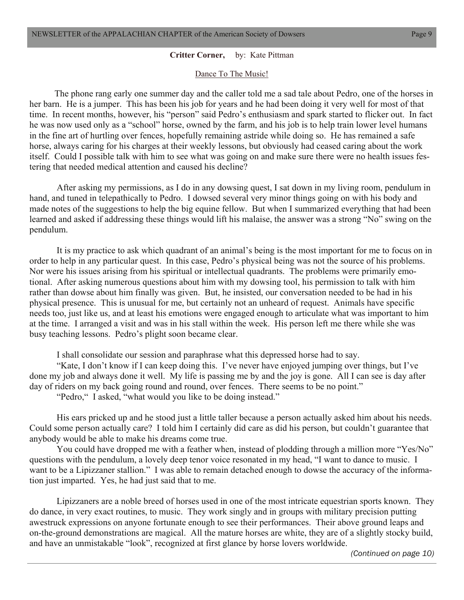#### **Critter Corner,** by: Kate Pittman

#### Dance To The Music!

 The phone rang early one summer day and the caller told me a sad tale about Pedro, one of the horses in her barn. He is a jumper. This has been his job for years and he had been doing it very well for most of that time. In recent months, however, his "person" said Pedro's enthusiasm and spark started to flicker out. In fact he was now used only as a "school" horse, owned by the farm, and his job is to help train lower level humans in the fine art of hurtling over fences, hopefully remaining astride while doing so. He has remained a safe horse, always caring for his charges at their weekly lessons, but obviously had ceased caring about the work itself. Could I possible talk with him to see what was going on and make sure there were no health issues festering that needed medical attention and caused his decline?

 After asking my permissions, as I do in any dowsing quest, I sat down in my living room, pendulum in hand, and tuned in telepathically to Pedro. I dowsed several very minor things going on with his body and made notes of the suggestions to help the big equine fellow. But when I summarized everything that had been learned and asked if addressing these things would lift his malaise, the answer was a strong "No" swing on the pendulum.

 It is my practice to ask which quadrant of an animal's being is the most important for me to focus on in order to help in any particular quest. In this case, Pedro's physical being was not the source of his problems. Nor were his issues arising from his spiritual or intellectual quadrants. The problems were primarily emotional. After asking numerous questions about him with my dowsing tool, his permission to talk with him rather than dowse about him finally was given. But, he insisted, our conversation needed to be had in his physical presence. This is unusual for me, but certainly not an unheard of request. Animals have specific needs too, just like us, and at least his emotions were engaged enough to articulate what was important to him at the time. I arranged a visit and was in his stall within the week. His person left me there while she was busy teaching lessons. Pedro's plight soon became clear.

I shall consolidate our session and paraphrase what this depressed horse had to say.

 "Kate, I don't know if I can keep doing this. I've never have enjoyed jumping over things, but I've done my job and always done it well. My life is passing me by and the joy is gone. All I can see is day after day of riders on my back going round and round, over fences. There seems to be no point."

"Pedro," I asked, "what would you like to be doing instead."

 His ears pricked up and he stood just a little taller because a person actually asked him about his needs. Could some person actually care? I told him I certainly did care as did his person, but couldn't guarantee that anybody would be able to make his dreams come true.

 You could have dropped me with a feather when, instead of plodding through a million more "Yes/No" questions with the pendulum, a lovely deep tenor voice resonated in my head, "I want to dance to music. I want to be a Lipizzaner stallion." I was able to remain detached enough to dowse the accuracy of the information just imparted. Yes, he had just said that to me.

 Lipizzaners are a noble breed of horses used in one of the most intricate equestrian sports known. They do dance, in very exact routines, to music. They work singly and in groups with military precision putting awestruck expressions on anyone fortunate enough to see their performances. Their above ground leaps and on-the-ground demonstrations are magical. All the mature horses are white, they are of a slightly stocky build, and have an unmistakable "look", recognized at first glance by horse lovers worldwide.

*(Continued on page 10)*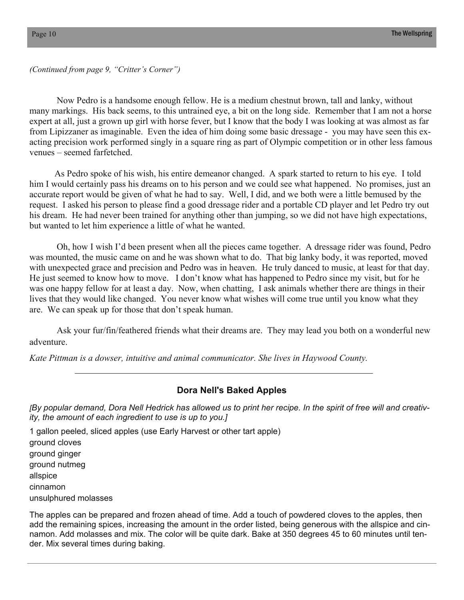*(Continued from page 9, "Critter's Corner")* 

 Now Pedro is a handsome enough fellow. He is a medium chestnut brown, tall and lanky, without many markings. His back seems, to this untrained eye, a bit on the long side. Remember that I am not a horse expert at all, just a grown up girl with horse fever, but I know that the body I was looking at was almost as far from Lipizzaner as imaginable. Even the idea of him doing some basic dressage - you may have seen this exacting precision work performed singly in a square ring as part of Olympic competition or in other less famous venues – seemed farfetched.

 As Pedro spoke of his wish, his entire demeanor changed. A spark started to return to his eye. I told him I would certainly pass his dreams on to his person and we could see what happened. No promises, just an accurate report would be given of what he had to say. Well, I did, and we both were a little bemused by the request. I asked his person to please find a good dressage rider and a portable CD player and let Pedro try out his dream. He had never been trained for anything other than jumping, so we did not have high expectations, but wanted to let him experience a little of what he wanted.

 Oh, how I wish I'd been present when all the pieces came together. A dressage rider was found, Pedro was mounted, the music came on and he was shown what to do. That big lanky body, it was reported, moved with unexpected grace and precision and Pedro was in heaven. He truly danced to music, at least for that day. He just seemed to know how to move. I don't know what has happened to Pedro since my visit, but for he was one happy fellow for at least a day. Now, when chatting, I ask animals whether there are things in their lives that they would like changed. You never know what wishes will come true until you know what they are. We can speak up for those that don't speak human.

 Ask your fur/fin/feathered friends what their dreams are. They may lead you both on a wonderful new adventure.

*Kate Pittman is a dowser, intuitive and animal communicator. She lives in Haywood County.* 

#### **Dora Nell's Baked Apples**

*[By popular demand, Dora Nell Hedrick has allowed us to print her recipe. In the spirit of free will and creativity, the amount of each ingredient to use is up to you.]* 

1 gallon peeled, sliced apples (use Early Harvest or other tart apple) ground cloves ground ginger ground nutmeg allspice cinnamon unsulphured molasses

The apples can be prepared and frozen ahead of time. Add a touch of powdered cloves to the apples, then add the remaining spices, increasing the amount in the order listed, being generous with the allspice and cinnamon. Add molasses and mix. The color will be quite dark. Bake at 350 degrees 45 to 60 minutes until tender. Mix several times during baking.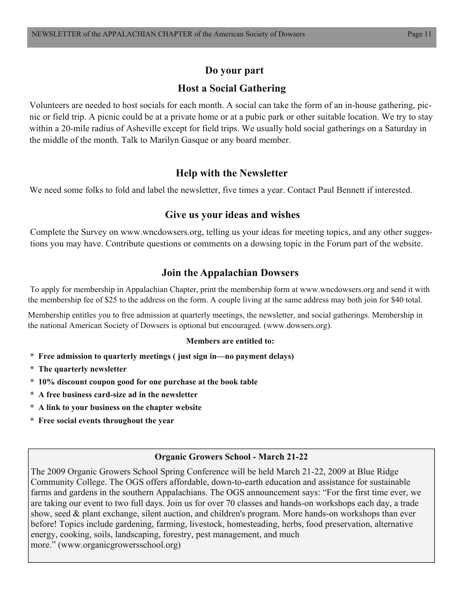# **Do your part**

# **Host a Social Gathering**

Volunteers are needed to host socials for each month. A social can take the form of an in-house gathering, picnic or field trip. A picnic could be at a private home or at a pubic park or other suitable location. We try to stay within a 20-mile radius of Asheville except for field trips. We usually hold social gatherings on a Saturday in the middle of the month. Talk to Marilyn Gasque or any board member.

# **Help with the Newsletter**

We need some folks to fold and label the newsletter, five times a year. Contact Paul Bennett if interested.

## **Give us your ideas and wishes**

Complete the Survey on www.wncdowsers.org, telling us your ideas for meeting topics, and any other suggestions you may have. Contribute questions or comments on a dowsing topic in the Forum part of the website.

# **Join the Appalachian Dowsers**

 To apply for membership in Appalachian Chapter, print the membership form at www.wncdowsers.org and send it with the membership fee of \$25 to the address on the form. A couple living at the same address may both join for \$40 total.

Membership entitles you to free admission at quarterly meetings, the newsletter, and social gatherings. Membership in the national American Society of Dowsers is optional but encouraged. (www.dowsers.org).

### **Members are entitled to:**

- **\* Free admission to quarterly meetings ( just sign in—no payment delays)**
- **\* The quarterly newsletter**
- **\* 10% discount coupon good for one purchase at the book table**
- **\* A free business card-size ad in the newsletter**
- **\* A link to your business on the chapter website**
- **\* Free social events throughout the year**

## **Organic Growers School - March 21-22**

The 2009 Organic Growers School Spring Conference will be held March 21-22, 2009 at Blue Ridge Community College. The OGS offers affordable, down-to-earth education and assistance for sustainable farms and gardens in the southern Appalachians. The OGS announcement says: "For the first time ever, we are taking our event to two full days. Join us for over 70 classes and hands-on workshops each day, a trade show, seed & plant exchange, silent auction, and children's program. More hands-on workshops than ever before! Topics include gardening, farming, livestock, homesteading, herbs, food preservation, alternative energy, cooking, soils, landscaping, forestry, pest management, and much more." (www.organicgrowersschool.org)